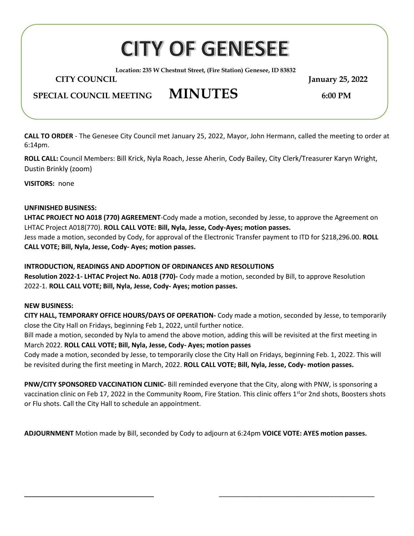# **CITY OF GENESEE**

**Location: 235 W Chestnut Street, (Fire Station) Genesee, ID 83832**

 **CITY COUNCIL January 25, 2022**

## **SPECIAL COUNCIL MEETING MINUTES 6:00 PM**

**CALL TO ORDER** - The Genesee City Council met January 25, 2022, Mayor, John Hermann, called the meeting to order at 6:14pm.

**ROLL CALL:** Council Members: Bill Krick, Nyla Roach, Jesse Aherin, Cody Bailey, City Clerk/Treasurer Karyn Wright, Dustin Brinkly (zoom)

**VISITORS:** none

#### **UNFINISHED BUSINESS:**

**LHTAC PROJECT NO A018 (770) AGREEMENT**-Cody made a motion, seconded by Jesse, to approve the Agreement on LHTAC Project A018(770). **ROLL CALL VOTE: Bill, Nyla, Jesse, Cody-Ayes; motion passes.**

Jess made a motion, seconded by Cody, for approval of the Electronic Transfer payment to ITD for \$218,296.00. **ROLL CALL VOTE; Bill, Nyla, Jesse, Cody- Ayes; motion passes.**

#### **INTRODUCTION, READINGS AND ADOPTION OF ORDINANCES AND RESOLUTIONS**

**Resolution 2022-1- LHTAC Project No. A018 (770)-** Cody made a motion, seconded by Bill, to approve Resolution 2022-1. **ROLL CALL VOTE; Bill, Nyla, Jesse, Cody- Ayes; motion passes.**

#### **NEW BUSINESS:**

**CITY HALL, TEMPORARY OFFICE HOURS/DAYS OF OPERATION-** Cody made a motion, seconded by Jesse, to temporarily close the City Hall on Fridays, beginning Feb 1, 2022, until further notice.

Bill made a motion, seconded by Nyla to amend the above motion, adding this will be revisited at the first meeting in March 2022. **ROLL CALL VOTE; Bill, Nyla, Jesse, Cody- Ayes; motion passes**

Cody made a motion, seconded by Jesse, to temporarily close the City Hall on Fridays, beginning Feb. 1, 2022. This will be revisited during the first meeting in March, 2022. **ROLL CALL VOTE; Bill, Nyla, Jesse, Cody- motion passes.**

**PNW/CITY SPONSORED VACCINATION CLINIC-** Bill reminded everyone that the City, along with PNW, is sponsoring a vaccination clinic on Feb 17, 2022 in the Community Room, Fire Station. This clinic offers 1<sup>st</sup>or 2nd shots, Boosters shots or Flu shots. Call the City Hall to schedule an appointment.

**ADJOURNMENT** Motion made by Bill, seconded by Cody to adjourn at 6:24pm **VOICE VOTE: AYES motion passes.**

\_\_\_\_\_\_\_\_\_\_\_\_\_\_\_\_\_\_\_\_\_\_\_\_\_\_\_\_\_\_\_\_\_\_\_ \_\_\_\_\_\_\_\_\_\_\_\_\_\_\_\_\_\_\_\_\_\_\_\_\_\_\_\_\_\_\_\_\_\_\_\_\_\_\_\_\_\_